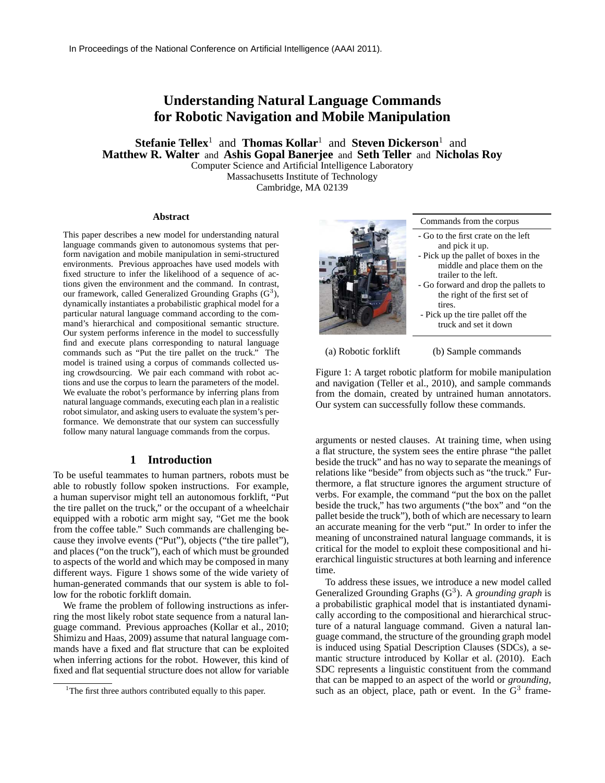# **Understanding Natural Language Commands for Robotic Navigation and Mobile Manipulation**

**Stefanie Tellex**<sup>1</sup> and **Thomas Kollar**<sup>1</sup> and **Steven Dickerson**<sup>1</sup> and **Matthew R. Walter** and **Ashis Gopal Banerjee** and **Seth Teller** and **Nicholas Roy** Computer Science and Artificial Intelligence Laboratory

Massachusetts Institute of Technology Cambridge, MA 02139

#### **Abstract**

This paper describes a new model for understanding natural language commands given to autonomous systems that perform navigation and mobile manipulation in semi-structured environments. Previous approaches have used models with fixed structure to infer the likelihood of a sequence of actions given the environment and the command. In contrast, our framework, called Generalized Grounding Graphs  $(G^3)$ , dynamically instantiates a probabilistic graphical model for a particular natural language command according to the command's hierarchical and compositional semantic structure. Our system performs inference in the model to successfully find and execute plans corresponding to natural language commands such as "Put the tire pallet on the truck." The model is trained using a corpus of commands collected using crowdsourcing. We pair each command with robot actions and use the corpus to learn the parameters of the model. We evaluate the robot's performance by inferring plans from natural language commands, executing each plan in a realistic robot simulator, and asking users to evaluate the system's performance. We demonstrate that our system can successfully follow many natural language commands from the corpus.

## **1 Introduction**

To be useful teammates to human partners, robots must be able to robustly follow spoken instructions. For example, a human supervisor might tell an autonomous forklift, "Put the tire pallet on the truck," or the occupant of a wheelchair equipped with a robotic arm might say, "Get me the book from the coffee table." Such commands are challenging because they involve events ("Put"), objects ("the tire pallet"), and places ("on the truck"), each of which must be grounded to aspects of the world and which may be composed in many different ways. Figure 1 shows some of the wide variety of human-generated commands that our system is able to follow for the robotic forklift domain.

We frame the problem of following instructions as inferring the most likely robot state sequence from a natural language command. Previous approaches (Kollar et al., 2010; Shimizu and Haas, 2009) assume that natural language commands have a fixed and flat structure that can be exploited when inferring actions for the robot. However, this kind of fixed and flat sequential structure does not allow for variable



Commands from the corpus

- Go to the first crate on the left and pick it up. - Pick up the pallet of boxes in the
- middle and place them on the trailer to the left. - Go forward and drop the pallets to
- the right of the first set of tires.
- Pick up the tire pallet off the truck and set it down

(a) Robotic forklift

(b) Sample commands

Figure 1: A target robotic platform for mobile manipulation and navigation (Teller et al., 2010), and sample commands from the domain, created by untrained human annotators. Our system can successfully follow these commands.

arguments or nested clauses. At training time, when using a flat structure, the system sees the entire phrase "the pallet beside the truck" and has no way to separate the meanings of relations like "beside" from objects such as "the truck." Furthermore, a flat structure ignores the argument structure of verbs. For example, the command "put the box on the pallet beside the truck," has two arguments ("the box" and "on the pallet beside the truck"), both of which are necessary to learn an accurate meaning for the verb "put." In order to infer the meaning of unconstrained natural language commands, it is critical for the model to exploit these compositional and hierarchical linguistic structures at both learning and inference time.

To address these issues, we introduce a new model called Generalized Grounding Graphs (G<sup>3</sup>). A *grounding graph* is a probabilistic graphical model that is instantiated dynamically according to the compositional and hierarchical structure of a natural language command. Given a natural language command, the structure of the grounding graph model is induced using Spatial Description Clauses (SDCs), a semantic structure introduced by Kollar et al. (2010). Each SDC represents a linguistic constituent from the command that can be mapped to an aspect of the world or *grounding*, such as an object, place, path or event. In the  $G^3$  frame-

<sup>&</sup>lt;sup>1</sup>The first three authors contributed equally to this paper.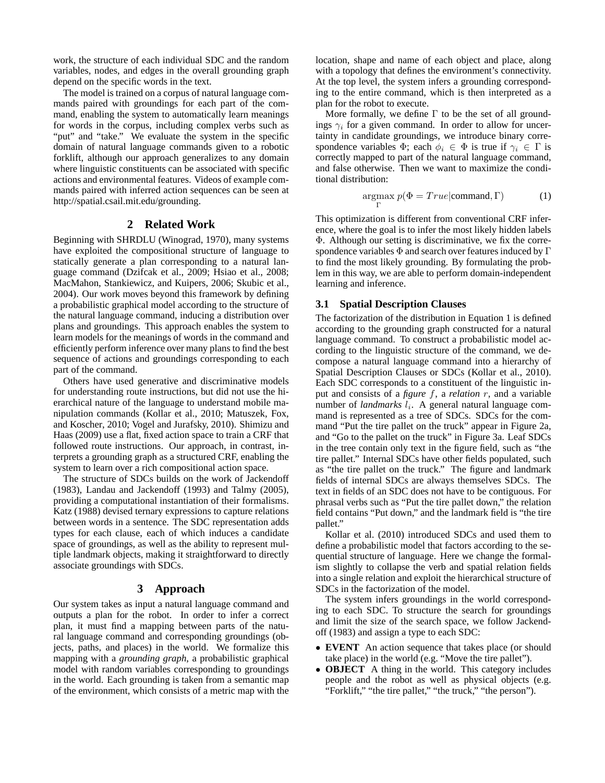work, the structure of each individual SDC and the random variables, nodes, and edges in the overall grounding graph depend on the specific words in the text.

The model is trained on a corpus of natural language commands paired with groundings for each part of the command, enabling the system to automatically learn meanings for words in the corpus, including complex verbs such as "put" and "take." We evaluate the system in the specific domain of natural language commands given to a robotic forklift, although our approach generalizes to any domain where linguistic constituents can be associated with specific actions and environmental features. Videos of example commands paired with inferred action sequences can be seen at http://spatial.csail.mit.edu/grounding.

### **2 Related Work**

Beginning with SHRDLU (Winograd, 1970), many systems have exploited the compositional structure of language to statically generate a plan corresponding to a natural language command (Dzifcak et al., 2009; Hsiao et al., 2008; MacMahon, Stankiewicz, and Kuipers, 2006; Skubic et al., 2004). Our work moves beyond this framework by defining a probabilistic graphical model according to the structure of the natural language command, inducing a distribution over plans and groundings. This approach enables the system to learn models for the meanings of words in the command and efficiently perform inference over many plans to find the best sequence of actions and groundings corresponding to each part of the command.

Others have used generative and discriminative models for understanding route instructions, but did not use the hierarchical nature of the language to understand mobile manipulation commands (Kollar et al., 2010; Matuszek, Fox, and Koscher, 2010; Vogel and Jurafsky, 2010). Shimizu and Haas (2009) use a flat, fixed action space to train a CRF that followed route instructions. Our approach, in contrast, interprets a grounding graph as a structured CRF, enabling the system to learn over a rich compositional action space.

The structure of SDCs builds on the work of Jackendoff (1983), Landau and Jackendoff (1993) and Talmy (2005), providing a computational instantiation of their formalisms. Katz (1988) devised ternary expressions to capture relations between words in a sentence. The SDC representation adds types for each clause, each of which induces a candidate space of groundings, as well as the ability to represent multiple landmark objects, making it straightforward to directly associate groundings with SDCs.

# **3 Approach**

Our system takes as input a natural language command and outputs a plan for the robot. In order to infer a correct plan, it must find a mapping between parts of the natural language command and corresponding groundings (objects, paths, and places) in the world. We formalize this mapping with a *grounding graph*, a probabilistic graphical model with random variables corresponding to groundings in the world. Each grounding is taken from a semantic map of the environment, which consists of a metric map with the location, shape and name of each object and place, along with a topology that defines the environment's connectivity. At the top level, the system infers a grounding corresponding to the entire command, which is then interpreted as a plan for the robot to execute.

More formally, we define  $\Gamma$  to be the set of all groundings  $\gamma_i$  for a given command. In order to allow for uncertainty in candidate groundings, we introduce binary correspondence variables  $\Phi$ ; each  $\phi_i \in \Phi$  is true if  $\gamma_i \in \Gamma$  is correctly mapped to part of the natural language command, and false otherwise. Then we want to maximize the conditional distribution:

$$
\underset{\Gamma}{\operatorname{argmax}} \ p(\Phi = True | \text{command}, \Gamma) \tag{1}
$$

This optimization is different from conventional CRF inference, where the goal is to infer the most likely hidden labels Φ. Although our setting is discriminative, we fix the correspondence variables  $\Phi$  and search over features induced by  $\Gamma$ to find the most likely grounding. By formulating the problem in this way, we are able to perform domain-independent learning and inference.

# **3.1 Spatial Description Clauses**

The factorization of the distribution in Equation 1 is defined according to the grounding graph constructed for a natural language command. To construct a probabilistic model according to the linguistic structure of the command, we decompose a natural language command into a hierarchy of Spatial Description Clauses or SDCs (Kollar et al., 2010). Each SDC corresponds to a constituent of the linguistic input and consists of a *figure* f, a *relation* r, and a variable number of *landmarks*  $l_i$ . A general natural language command is represented as a tree of SDCs. SDCs for the command "Put the tire pallet on the truck" appear in Figure 2a, and "Go to the pallet on the truck" in Figure 3a. Leaf SDCs in the tree contain only text in the figure field, such as "the tire pallet." Internal SDCs have other fields populated, such as "the tire pallet on the truck." The figure and landmark fields of internal SDCs are always themselves SDCs. The text in fields of an SDC does not have to be contiguous. For phrasal verbs such as "Put the tire pallet down," the relation field contains "Put down," and the landmark field is "the tire pallet."

Kollar et al. (2010) introduced SDCs and used them to define a probabilistic model that factors according to the sequential structure of language. Here we change the formalism slightly to collapse the verb and spatial relation fields into a single relation and exploit the hierarchical structure of SDCs in the factorization of the model.

The system infers groundings in the world corresponding to each SDC. To structure the search for groundings and limit the size of the search space, we follow Jackendoff (1983) and assign a type to each SDC:

- **EVENT** An action sequence that takes place (or should take place) in the world (e.g. "Move the tire pallet").
- **OBJECT** A thing in the world. This category includes people and the robot as well as physical objects (e.g. "Forklift," "the tire pallet," "the truck," "the person").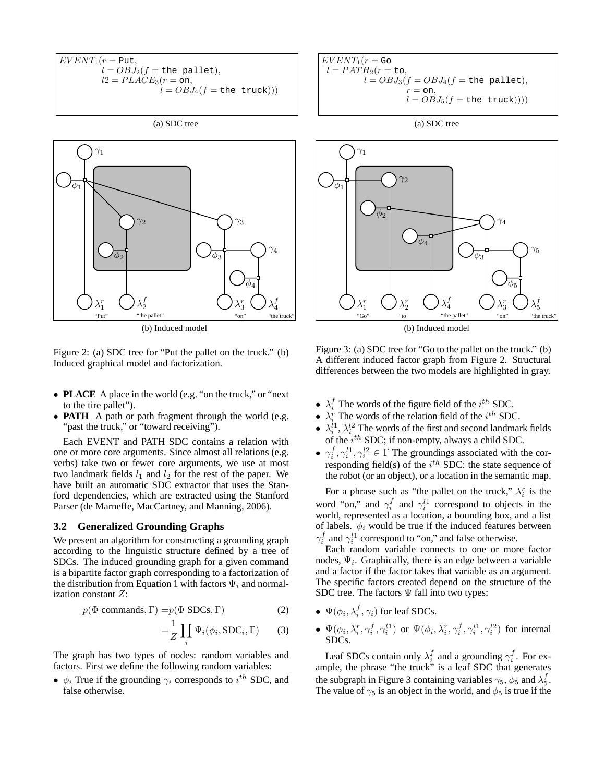$$
EVENT_1(r = \text{Put},
$$
  
\n
$$
l = OBJ_2(f = \text{the pellet}),
$$
  
\n
$$
l2 = PLACE_3(r = \text{on},
$$
  
\n
$$
l = OBJ_4(f = \text{the truck}))
$$

(a) SDC tree



(b) Induced model

Figure 2: (a) SDC tree for "Put the pallet on the truck." (b) Induced graphical model and factorization.

- **PLACE** A place in the world (e.g. "on the truck," or "next" to the tire pallet").
- **PATH** A path or path fragment through the world (e.g. "past the truck," or "toward receiving").

Each EVENT and PATH SDC contains a relation with one or more core arguments. Since almost all relations (e.g. verbs) take two or fewer core arguments, we use at most two landmark fields  $l_1$  and  $l_2$  for the rest of the paper. We have built an automatic SDC extractor that uses the Stanford dependencies, which are extracted using the Stanford Parser (de Marneffe, MacCartney, and Manning, 2006).

#### **3.2 Generalized Grounding Graphs**

We present an algorithm for constructing a grounding graph according to the linguistic structure defined by a tree of SDCs. The induced grounding graph for a given command is a bipartite factor graph corresponding to a factorization of the distribution from Equation 1 with factors  $\Psi_i$  and normalization constant Z:

$$
p(\Phi|\text{commands}, \Gamma) = p(\Phi|\text{SDCs}, \Gamma) \tag{2}
$$

$$
=\frac{1}{Z}\prod_{i}\Psi_{i}(\phi_{i}, \text{SDC}_{i}, \Gamma)
$$
 (3)

The graph has two types of nodes: random variables and factors. First we define the following random variables:

•  $\phi_i$  True if the grounding  $\gamma_i$  corresponds to  $i^{th}$  SDC, and false otherwise.



(a) SDC tree



(b) Induced model

Figure 3: (a) SDC tree for "Go to the pallet on the truck." (b) A different induced factor graph from Figure 2. Structural differences between the two models are highlighted in gray.

- $\lambda_i^f$  The words of the figure field of the  $i^{th}$  SDC.
- $\lambda_i^r$  The words of the relation field of the  $i^{th}$  SDC.
- $\lambda_i^{i_1}, \lambda_i^{i_2}$  The words of the first and second landmark fields of the  $i^{th}$  SDC; if non-empty, always a child SDC.
- $\gamma_i^f, \gamma_i^{l1}, \gamma_i^{l2} \in \Gamma$  The groundings associated with the corresponding field(s) of the  $i^{th}$  SDC: the state sequence of the robot (or an object), or a location in the semantic map.

For a phrase such as "the pallet on the truck,"  $\lambda_i^r$  is the word "on," and  $\gamma_i^f$  and  $\gamma_i^{l_1}$  correspond to objects in the world, represented as a location, a bounding box, and a list of labels.  $\phi_i$  would be true if the induced features between  $\gamma_i^f$  and  $\gamma_i^{l1}$  correspond to "on," and false otherwise.

Each random variable connects to one or more factor nodes,  $\Psi_i$ . Graphically, there is an edge between a variable and a factor if the factor takes that variable as an argument. The specific factors created depend on the structure of the SDC tree. The factors  $\Psi$  fall into two types:

- $\Psi(\phi_i, \lambda_i^f, \gamma_i)$  for leaf SDCs. i
- $\Psi(\phi_i, \lambda_i^r, \gamma_i^f, \gamma_i^{l1})$  or  $\Psi(\phi_i, \lambda_i^r, \gamma_i^f, \gamma_i^{l1}, \gamma_i^{l2})$  for internal SDCs.

Leaf SDCs contain only  $\lambda_i^f$  and a grounding  $\gamma_i^f$ . For example, the phrase "the truck" is a leaf SDC that generates the subgraph in Figure 3 containing variables  $\gamma_5$ ,  $\phi_5$  and  $\lambda_5^f$ . The value of  $\gamma_5$  is an object in the world, and  $\phi_5$  is true if the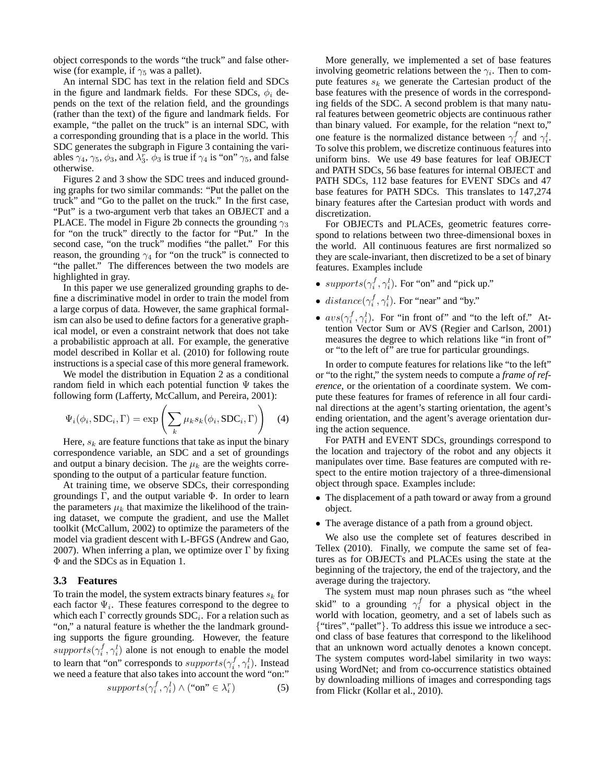object corresponds to the words "the truck" and false otherwise (for example, if  $\gamma_5$  was a pallet).

An internal SDC has text in the relation field and SDCs in the figure and landmark fields. For these SDCs,  $\phi_i$  depends on the text of the relation field, and the groundings (rather than the text) of the figure and landmark fields. For example, "the pallet on the truck" is an internal SDC, with a corresponding grounding that is a place in the world. This SDC generates the subgraph in Figure 3 containing the variables  $\gamma_4$ ,  $\gamma_5$ ,  $\phi_3$ , and  $\lambda_3^r$ .  $\phi_3$  is true if  $\gamma_4$  is "on"  $\gamma_5$ , and false otherwise.

Figures 2 and 3 show the SDC trees and induced grounding graphs for two similar commands: "Put the pallet on the truck" and "Go to the pallet on the truck." In the first case, "Put" is a two-argument verb that takes an OBJECT and a PLACE. The model in Figure 2b connects the grounding  $\gamma_3$ for "on the truck" directly to the factor for "Put." In the second case, "on the truck" modifies "the pallet." For this reason, the grounding  $\gamma_4$  for "on the truck" is connected to "the pallet." The differences between the two models are highlighted in gray.

In this paper we use generalized grounding graphs to define a discriminative model in order to train the model from a large corpus of data. However, the same graphical formalism can also be used to define factors for a generative graphical model, or even a constraint network that does not take a probabilistic approach at all. For example, the generative model described in Kollar et al. (2010) for following route instructions is a special case of this more general framework.

We model the distribution in Equation 2 as a conditional random field in which each potential function  $\Psi$  takes the following form (Lafferty, McCallum, and Pereira, 2001):

$$
\Psi_i(\phi_i, \text{SDC}_i, \Gamma) = \exp\left(\sum_k \mu_k s_k(\phi_i, \text{SDC}_i, \Gamma)\right) \quad (4)
$$

Here,  $s_k$  are feature functions that take as input the binary correspondence variable, an SDC and a set of groundings and output a binary decision. The  $\mu_k$  are the weights corresponding to the output of a particular feature function.

At training time, we observe SDCs, their corresponding groundings Γ, and the output variable Φ. In order to learn the parameters  $\mu_k$  that maximize the likelihood of the training dataset, we compute the gradient, and use the Mallet toolkit (McCallum, 2002) to optimize the parameters of the model via gradient descent with L-BFGS (Andrew and Gao, 2007). When inferring a plan, we optimize over  $\Gamma$  by fixing Φ and the SDCs as in Equation 1.

#### **3.3 Features**

To train the model, the system extracts binary features  $s_k$  for each factor  $\Psi_i$ . These features correspond to the degree to which each  $\Gamma$  correctly grounds  $SDC_i$ . For a relation such as "on," a natural feature is whether the the landmark grounding supports the figure grounding. However, the feature  $\text{supports}(\gamma_i^f, \gamma_i^l)$  alone is not enough to enable the model to learn that "on" corresponds to  $\textit{supports}(\gamma_i^f, \gamma_i^l)$ . Instead we need a feature that also takes into account the word "on:"

$$
supports(\gamma_i^f, \gamma_i^l) \land (\text{``on''} \in \lambda_i^r)
$$
 (5)

More generally, we implemented a set of base features involving geometric relations between the  $\gamma_i$ . Then to compute features  $s_k$  we generate the Cartesian product of the base features with the presence of words in the corresponding fields of the SDC. A second problem is that many natural features between geometric objects are continuous rather than binary valued. For example, for the relation "next to," one feature is the normalized distance between  $\gamma_i^f$  and  $\gamma_i^l$ . To solve this problem, we discretize continuous features into uniform bins. We use 49 base features for leaf OBJECT and PATH SDCs, 56 base features for internal OBJECT and PATH SDCs, 112 base features for EVENT SDCs and 47 base features for PATH SDCs. This translates to 147,274 binary features after the Cartesian product with words and discretization.

For OBJECTs and PLACEs, geometric features correspond to relations between two three-dimensional boxes in the world. All continuous features are first normalized so they are scale-invariant, then discretized to be a set of binary features. Examples include

- $\text{supports}(\gamma_i^f, \gamma_i^l)$ . For "on" and "pick up."
- $distance(\gamma_i^f, \gamma_i^l)$ . For "near" and "by."
- $avs(\gamma_i^f, \gamma_i^l)$ . For "in front of" and "to the left of." Attention Vector Sum or AVS (Regier and Carlson, 2001) measures the degree to which relations like "in front of" or "to the left of" are true for particular groundings.

In order to compute features for relations like "to the left" or "to the right," the system needs to compute a *frame of reference*, or the orientation of a coordinate system. We compute these features for frames of reference in all four cardinal directions at the agent's starting orientation, the agent's ending orientation, and the agent's average orientation during the action sequence.

For PATH and EVENT SDCs, groundings correspond to the location and trajectory of the robot and any objects it manipulates over time. Base features are computed with respect to the entire motion trajectory of a three-dimensional object through space. Examples include:

- The displacement of a path toward or away from a ground object.
- The average distance of a path from a ground object.

We also use the complete set of features described in Tellex (2010). Finally, we compute the same set of features as for OBJECTs and PLACEs using the state at the beginning of the trajectory, the end of the trajectory, and the average during the trajectory.

The system must map noun phrases such as "the wheel skid" to a grounding  $\gamma_i^f$  for a physical object in the world with location, geometry, and a set of labels such as {"tires", "pallet"}. To address this issue we introduce a second class of base features that correspond to the likelihood that an unknown word actually denotes a known concept. The system computes word-label similarity in two ways: using WordNet; and from co-occurrence statistics obtained by downloading millions of images and corresponding tags from Flickr (Kollar et al., 2010).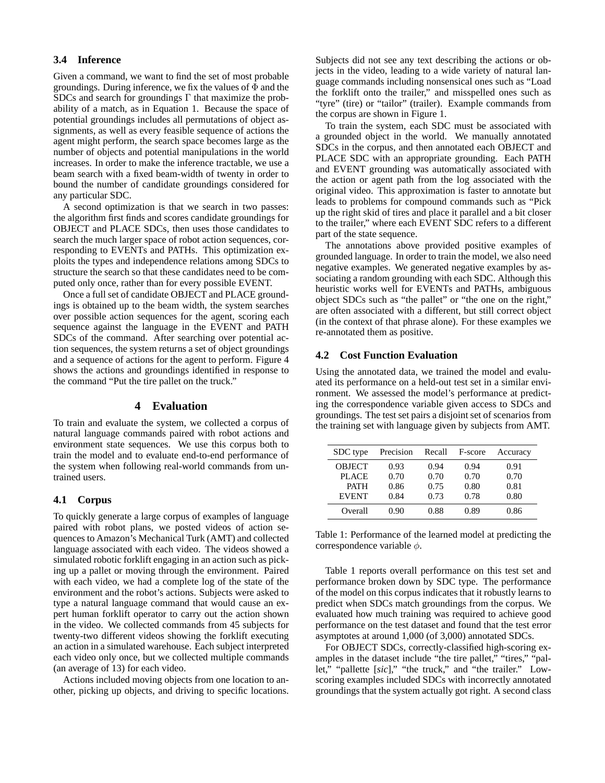# **3.4 Inference**

Given a command, we want to find the set of most probable groundings. During inference, we fix the values of  $\Phi$  and the SDCs and search for groundings Γ that maximize the probability of a match, as in Equation 1. Because the space of potential groundings includes all permutations of object assignments, as well as every feasible sequence of actions the agent might perform, the search space becomes large as the number of objects and potential manipulations in the world increases. In order to make the inference tractable, we use a beam search with a fixed beam-width of twenty in order to bound the number of candidate groundings considered for any particular SDC.

A second optimization is that we search in two passes: the algorithm first finds and scores candidate groundings for OBJECT and PLACE SDCs, then uses those candidates to search the much larger space of robot action sequences, corresponding to EVENTs and PATHs. This optimization exploits the types and independence relations among SDCs to structure the search so that these candidates need to be computed only once, rather than for every possible EVENT.

Once a full set of candidate OBJECT and PLACE groundings is obtained up to the beam width, the system searches over possible action sequences for the agent, scoring each sequence against the language in the EVENT and PATH SDCs of the command. After searching over potential action sequences, the system returns a set of object groundings and a sequence of actions for the agent to perform. Figure 4 shows the actions and groundings identified in response to the command "Put the tire pallet on the truck."

# **4 Evaluation**

To train and evaluate the system, we collected a corpus of natural language commands paired with robot actions and environment state sequences. We use this corpus both to train the model and to evaluate end-to-end performance of the system when following real-world commands from untrained users.

### **4.1 Corpus**

To quickly generate a large corpus of examples of language paired with robot plans, we posted videos of action sequences to Amazon's Mechanical Turk (AMT) and collected language associated with each video. The videos showed a simulated robotic forklift engaging in an action such as picking up a pallet or moving through the environment. Paired with each video, we had a complete log of the state of the environment and the robot's actions. Subjects were asked to type a natural language command that would cause an expert human forklift operator to carry out the action shown in the video. We collected commands from 45 subjects for twenty-two different videos showing the forklift executing an action in a simulated warehouse. Each subject interpreted each video only once, but we collected multiple commands (an average of 13) for each video.

Actions included moving objects from one location to another, picking up objects, and driving to specific locations. Subjects did not see any text describing the actions or objects in the video, leading to a wide variety of natural language commands including nonsensical ones such as "Load the forklift onto the trailer," and misspelled ones such as "tyre" (tire) or "tailor" (trailer). Example commands from the corpus are shown in Figure 1.

To train the system, each SDC must be associated with a grounded object in the world. We manually annotated SDCs in the corpus, and then annotated each OBJECT and PLACE SDC with an appropriate grounding. Each PATH and EVENT grounding was automatically associated with the action or agent path from the log associated with the original video. This approximation is faster to annotate but leads to problems for compound commands such as "Pick up the right skid of tires and place it parallel and a bit closer to the trailer," where each EVENT SDC refers to a different part of the state sequence.

The annotations above provided positive examples of grounded language. In order to train the model, we also need negative examples. We generated negative examples by associating a random grounding with each SDC. Although this heuristic works well for EVENTs and PATHs, ambiguous object SDCs such as "the pallet" or "the one on the right," are often associated with a different, but still correct object (in the context of that phrase alone). For these examples we re-annotated them as positive.

# **4.2 Cost Function Evaluation**

Using the annotated data, we trained the model and evaluated its performance on a held-out test set in a similar environment. We assessed the model's performance at predicting the correspondence variable given access to SDCs and groundings. The test set pairs a disjoint set of scenarios from the training set with language given by subjects from AMT.

| SDC type      | Precision | Recall | F-score | Accuracy |
|---------------|-----------|--------|---------|----------|
| <b>OBJECT</b> | 0.93      | 0.94   | 0.94    | 0.91     |
| <b>PLACE</b>  | 0.70      | 0.70   | 0.70    | 0.70     |
| <b>PATH</b>   | 0.86      | 0.75   | 0.80    | 0.81     |
| <b>EVENT</b>  | 0.84      | 0.73   | 0.78    | 0.80     |
| Overall       | 0.90      | 0.88   | 0.89    | 0.86     |

Table 1: Performance of the learned model at predicting the correspondence variable  $\phi$ .

Table 1 reports overall performance on this test set and performance broken down by SDC type. The performance of the model on this corpus indicates that it robustly learns to predict when SDCs match groundings from the corpus. We evaluated how much training was required to achieve good performance on the test dataset and found that the test error asymptotes at around 1,000 (of 3,000) annotated SDCs.

For OBJECT SDCs, correctly-classified high-scoring examples in the dataset include "the tire pallet," "tires," "pallet," "pallette [*sic*]," "the truck," and "the trailer." Lowscoring examples included SDCs with incorrectly annotated groundings that the system actually got right. A second class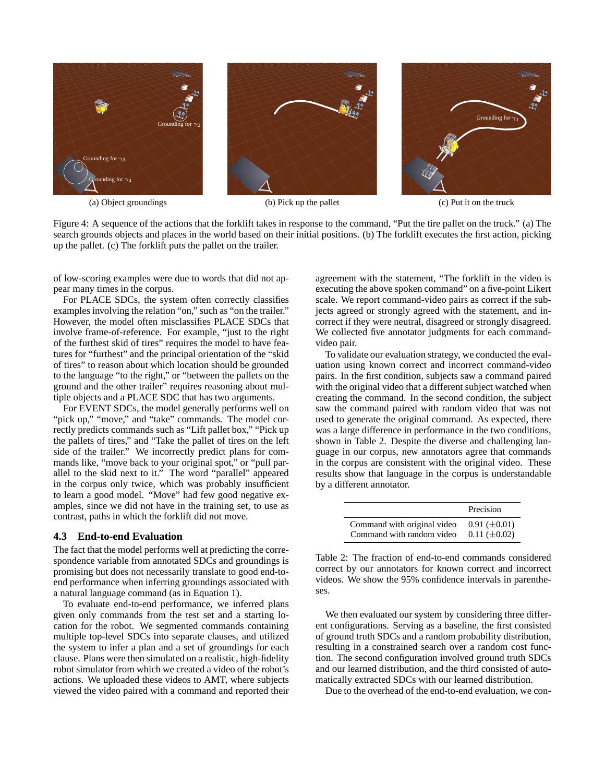

(a) Object groundings (b) Pick up the pallet





(c) Put it on the truck

Figure 4: A sequence of the actions that the forklift takes in response to the command, "Put the tire pallet on the truck." (a) The search grounds objects and places in the world based on their initial positions. (b) The forklift executes the first action, picking up the pallet. (c) The forklift puts the pallet on the trailer.

of low-scoring examples were due to words that did not appear many times in the corpus.

For PLACE SDCs, the system often correctly classifies examples involving the relation "on," such as "on the trailer." However, the model often misclassifies PLACE SDCs that involve frame-of-reference. For example, "just to the right of the furthest skid of tires" requires the model to have features for "furthest" and the principal orientation of the "skid of tires" to reason about which location should be grounded to the language "to the right," or "between the pallets on the ground and the other trailer" requires reasoning about multiple objects and a PLACE SDC that has two arguments.

For EVENT SDCs, the model generally performs well on "pick up," "move," and "take" commands. The model correctly predicts commands such as "Lift pallet box," "Pick up the pallets of tires," and "Take the pallet of tires on the left side of the trailer." We incorrectly predict plans for commands like, "move back to your original spot," or "pull parallel to the skid next to it." The word "parallel" appeared in the corpus only twice, which was probably insufficient to learn a good model. "Move" had few good negative examples, since we did not have in the training set, to use as contrast, paths in which the forklift did not move.

#### **4.3 End-to-end Evaluation**

The fact that the model performs well at predicting the correspondence variable from annotated SDCs and groundings is promising but does not necessarily translate to good end-toend performance when inferring groundings associated with a natural language command (as in Equation 1).

To evaluate end-to-end performance, we inferred plans given only commands from the test set and a starting location for the robot. We segmented commands containing multiple top-level SDCs into separate clauses, and utilized the system to infer a plan and a set of groundings for each clause. Plans were then simulated on a realistic, high-fidelity robot simulator from which we created a video of the robot's actions. We uploaded these videos to AMT, where subjects viewed the video paired with a command and reported their

agreement with the statement, "The forklift in the video is executing the above spoken command" on a five-point Likert scale. We report command-video pairs as correct if the subjects agreed or strongly agreed with the statement, and incorrect if they were neutral, disagreed or strongly disagreed. We collected five annotator judgments for each commandvideo pair.

To validate our evaluation strategy, we conducted the evaluation using known correct and incorrect command-video pairs. In the first condition, subjects saw a command paired with the original video that a different subject watched when creating the command. In the second condition, the subject saw the command paired with random video that was not used to generate the original command. As expected, there was a large difference in performance in the two conditions, shown in Table 2. Despite the diverse and challenging language in our corpus, new annotators agree that commands in the corpus are consistent with the original video. These results show that language in the corpus is understandable by a different annotator.

|                             | Precision           |
|-----------------------------|---------------------|
| Command with original video | $0.91 \ (\pm 0.01)$ |
| Command with random video   | $0.11 \ (\pm 0.02)$ |

Table 2: The fraction of end-to-end commands considered correct by our annotators for known correct and incorrect videos. We show the 95% confidence intervals in parentheses.

We then evaluated our system by considering three different configurations. Serving as a baseline, the first consisted of ground truth SDCs and a random probability distribution, resulting in a constrained search over a random cost function. The second configuration involved ground truth SDCs and our learned distribution, and the third consisted of automatically extracted SDCs with our learned distribution.

Due to the overhead of the end-to-end evaluation, we con-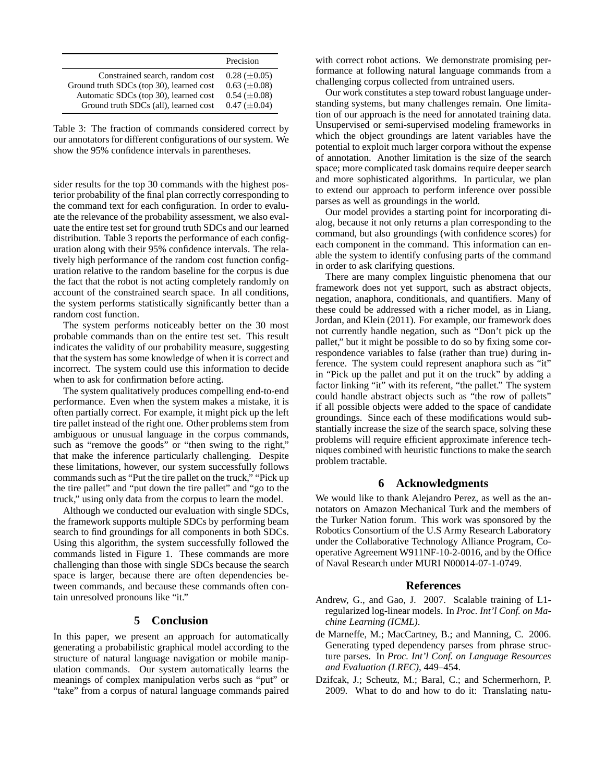|                                          | Precision           |
|------------------------------------------|---------------------|
| Constrained search, random cost          | $0.28 \ (\pm 0.05)$ |
| Ground truth SDCs (top 30), learned cost | $0.63 \ (\pm 0.08)$ |
| Automatic SDCs (top 30), learned cost    | $0.54 \ (\pm 0.08)$ |
| Ground truth SDCs (all), learned cost    | $0.47 \ (\pm 0.04)$ |

Table 3: The fraction of commands considered correct by our annotators for different configurations of our system. We show the 95% confidence intervals in parentheses.

sider results for the top 30 commands with the highest posterior probability of the final plan correctly corresponding to the command text for each configuration. In order to evaluate the relevance of the probability assessment, we also evaluate the entire test set for ground truth SDCs and our learned distribution. Table 3 reports the performance of each configuration along with their 95% confidence intervals. The relatively high performance of the random cost function configuration relative to the random baseline for the corpus is due the fact that the robot is not acting completely randomly on account of the constrained search space. In all conditions, the system performs statistically significantly better than a random cost function.

The system performs noticeably better on the 30 most probable commands than on the entire test set. This result indicates the validity of our probability measure, suggesting that the system has some knowledge of when it is correct and incorrect. The system could use this information to decide when to ask for confirmation before acting.

The system qualitatively produces compelling end-to-end performance. Even when the system makes a mistake, it is often partially correct. For example, it might pick up the left tire pallet instead of the right one. Other problems stem from ambiguous or unusual language in the corpus commands, such as "remove the goods" or "then swing to the right," that make the inference particularly challenging. Despite these limitations, however, our system successfully follows commands such as "Put the tire pallet on the truck," "Pick up the tire pallet" and "put down the tire pallet" and "go to the truck," using only data from the corpus to learn the model.

Although we conducted our evaluation with single SDCs, the framework supports multiple SDCs by performing beam search to find groundings for all components in both SDCs. Using this algorithm, the system successfully followed the commands listed in Figure 1. These commands are more challenging than those with single SDCs because the search space is larger, because there are often dependencies between commands, and because these commands often contain unresolved pronouns like "it."

## **5 Conclusion**

In this paper, we present an approach for automatically generating a probabilistic graphical model according to the structure of natural language navigation or mobile manipulation commands. Our system automatically learns the meanings of complex manipulation verbs such as "put" or "take" from a corpus of natural language commands paired

with correct robot actions. We demonstrate promising performance at following natural language commands from a challenging corpus collected from untrained users.

Our work constitutes a step toward robust language understanding systems, but many challenges remain. One limitation of our approach is the need for annotated training data. Unsupervised or semi-supervised modeling frameworks in which the object groundings are latent variables have the potential to exploit much larger corpora without the expense of annotation. Another limitation is the size of the search space; more complicated task domains require deeper search and more sophisticated algorithms. In particular, we plan to extend our approach to perform inference over possible parses as well as groundings in the world.

Our model provides a starting point for incorporating dialog, because it not only returns a plan corresponding to the command, but also groundings (with confidence scores) for each component in the command. This information can enable the system to identify confusing parts of the command in order to ask clarifying questions.

There are many complex linguistic phenomena that our framework does not yet support, such as abstract objects, negation, anaphora, conditionals, and quantifiers. Many of these could be addressed with a richer model, as in Liang, Jordan, and Klein (2011). For example, our framework does not currently handle negation, such as "Don't pick up the pallet," but it might be possible to do so by fixing some correspondence variables to false (rather than true) during inference. The system could represent anaphora such as "it" in "Pick up the pallet and put it on the truck" by adding a factor linking "it" with its referent, "the pallet." The system could handle abstract objects such as "the row of pallets" if all possible objects were added to the space of candidate groundings. Since each of these modifications would substantially increase the size of the search space, solving these problems will require efficient approximate inference techniques combined with heuristic functions to make the search problem tractable.

## **6 Acknowledgments**

We would like to thank Alejandro Perez, as well as the annotators on Amazon Mechanical Turk and the members of the Turker Nation forum. This work was sponsored by the Robotics Consortium of the U.S Army Research Laboratory under the Collaborative Technology Alliance Program, Cooperative Agreement W911NF-10-2-0016, and by the Office of Naval Research under MURI N00014-07-1-0749.

#### **References**

- Andrew, G., and Gao, J. 2007. Scalable training of L1 regularized log-linear models. In *Proc. Int'l Conf. on Machine Learning (ICML)*.
- de Marneffe, M.; MacCartney, B.; and Manning, C. 2006. Generating typed dependency parses from phrase structure parses. In *Proc. Int'l Conf. on Language Resources and Evaluation (LREC)*, 449–454.
- Dzifcak, J.; Scheutz, M.; Baral, C.; and Schermerhorn, P. 2009. What to do and how to do it: Translating natu-